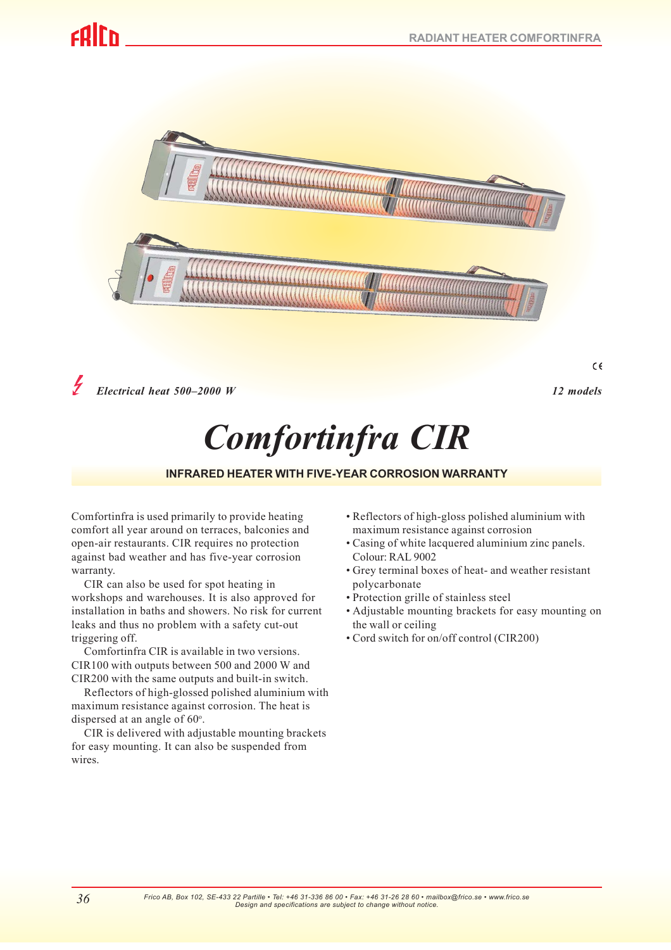# rdir.



*Electrical heat 500–2000 W 12 models*

*Comfortinfra CIR*

#### **INFRARED HEATER WITH FIVE-YEAR CORROSION WARRANTY**

Comfortinfra is used primarily to provide heating comfort all year around on terraces, balconies and open-air restaurants. CIR requires no protection against bad weather and has five-year corrosion warranty.

CIR can also be used for spot heating in workshops and warehouses. It is also approved for installation in baths and showers. No risk for current leaks and thus no problem with a safety cut-out triggering off.

Comfortinfra CIR is available in two versions. CIR100 with outputs between 500 and 2000 W and CIR200 with the same outputs and built-in switch.

Reflectors of high-glossed polished aluminium with maximum resistance against corrosion. The heat is dispersed at an angle of  $60^\circ$ .

CIR is delivered with adjustable mounting brackets for easy mounting. It can also be suspended from wires.

*36*

- Reflectors of high-gloss polished aluminium with maximum resistance against corrosion
- Casing of white lacquered aluminium zinc panels. Colour: RAL 9002
- Grey terminal boxes of heat- and weather resistant polycarbonate
- Protection grille of stainless steel
- Adjustable mounting brackets for easy mounting on the wall or ceiling
- Cord switch for on/off control (CIR200)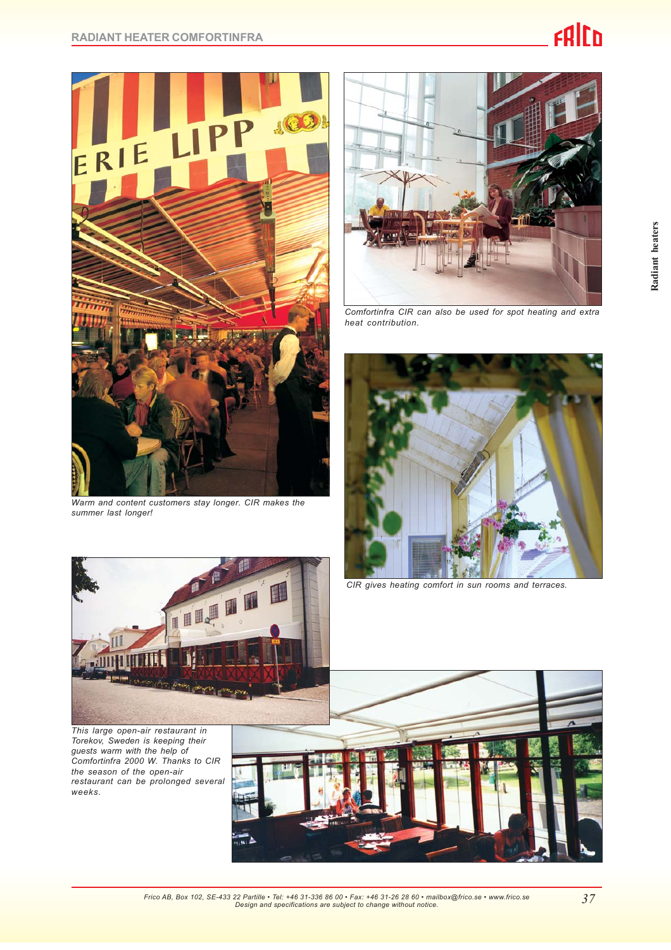

*Warm and content customers stay longer. CIR makes the summer last longer!*



*Comfortinfra CIR can also be used for spot heating and extra heat contribution.*



*CIR gives heating comfort in sun rooms and terraces.*



*This large open-air restaurant in Torekov, Sweden is keeping their guests warm with the help of Comfortinfra 2000 W. Thanks to CIR the season of the open-air restaurant can be prolonged several weeks.*

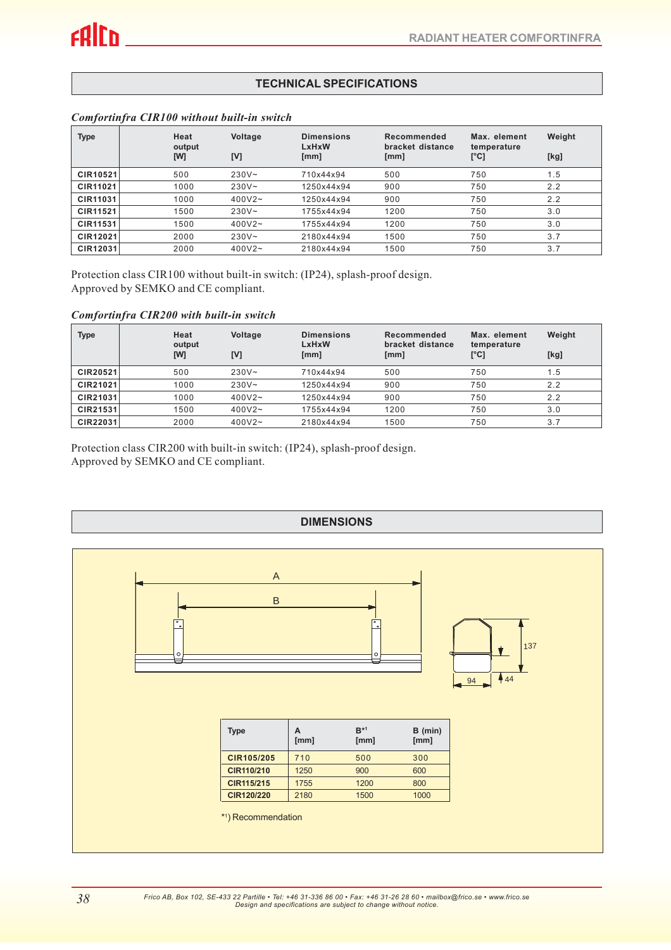### **TEKNISKA DATA TECHNICAL SPECIFICATIONS**

| <b>Type</b>     | Heat<br>output | Voltage   | <b>Dimensions</b><br><b>LxHxW</b> | Recommended<br>bracket distance | Max. element<br>temperature | Weight |
|-----------------|----------------|-----------|-----------------------------------|---------------------------------|-----------------------------|--------|
|                 | [W]            | [V]       | [mm]                              | [mm]                            | $\lbrack$ °C]               | [kg]   |
| CIR10521        | 500            | $230V -$  | 710x44x94                         | 500                             | 750                         | 1.5    |
| <b>CIR11021</b> | 1000           | $230V -$  | 1250x44x94                        | 900                             | 750                         | 2.2    |
| CIR11031        | 1000           | $400V2 -$ | 1250x44x94                        | 900                             | 750                         | 2.2    |
| <b>CIR11521</b> | 1500           | $230V -$  | 1755x44x94                        | 1200                            | 750                         | 3.0    |
| <b>CIR11531</b> | 1500           | $400V2 -$ | 1755x44x94                        | 1200                            | 750                         | 3.0    |
| CIR12021        | 2000           | $230V -$  | 2180x44x94                        | 1500                            | 750                         | 3.7    |
| CIR12031        | 2000           | $400V2 -$ | 2180x44x94                        | 1500                            | 750                         | 3.7    |

#### *Comfortinfra CIR100 without built-in switch*

Protection class CIR100 without built-in switch: (IP24), splash-proof design. Approved by SEMKO and CE compliant.

#### *Comfortinfra CIR200 with built-in switch*

| <b>Type</b>     | Heat<br>output<br>[W] | Voltage<br>[V] | <b>Dimensions</b><br>LxHxW<br>[mm] | Recommended<br>bracket distance<br>[mm] | Max. element<br>temperature<br>[°C] | Weight<br>[kg] |
|-----------------|-----------------------|----------------|------------------------------------|-----------------------------------------|-------------------------------------|----------------|
| CIR20521        | 500                   | $230V -$       | 710x44x94                          | 500                                     | 750                                 | 1.5            |
| CIR21021        | 1000                  | $230V -$       | 1250x44x94                         | 900                                     | 750                                 | 2.2            |
| CIR21031        | 1000                  | $400V2 -$      | 1250x44x94                         | 900                                     | 750                                 | 2.2            |
| CIR21531        | 1500                  | $400V2 -$      | 1755x44x94                         | 1200                                    | 750                                 | 3.0            |
| <b>CIR22031</b> | 2000                  | $400V2 -$      | 2180x44x94                         | 1500                                    | 750                                 | 3.7            |

Protection class CIR200 with built-in switch: (IP24), splash-proof design. Approved by SEMKO and CE compliant.

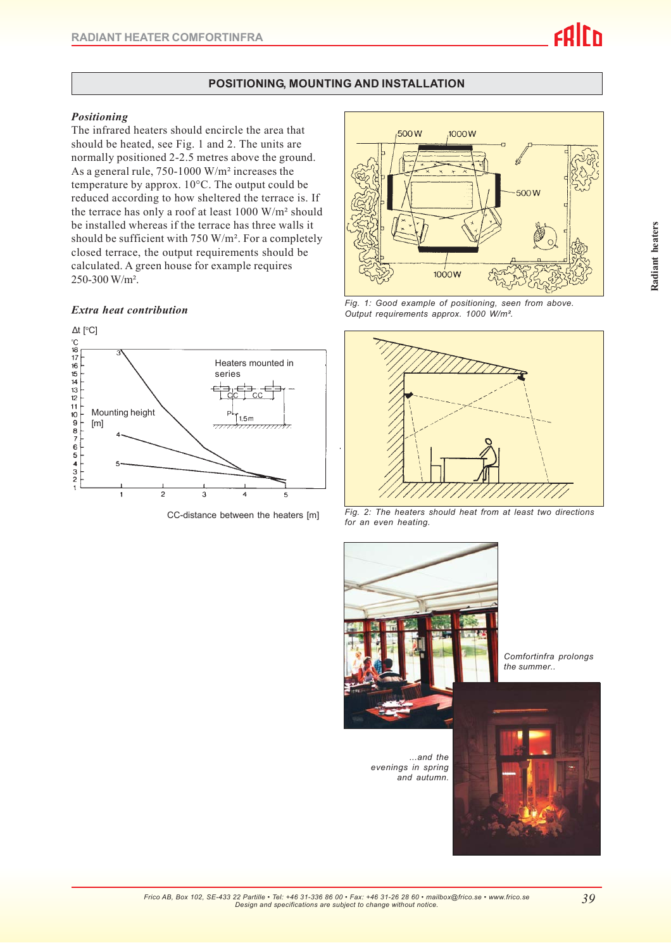### **POSITIONING, MOUNTING AND INSTALLATION**

#### *Positioning*

The infrared heaters should encircle the area that should be heated, see Fig. 1 and 2. The units are normally positioned 2-2.5 metres above the ground. As a general rule, 750-1000 W/m² increases the temperature by approx. 10°C. The output could be reduced according to how sheltered the terrace is. If the terrace has only a roof at least 1000 W/m² should be installed whereas if the terrace has three walls it should be sufficient with 750 W/m². For a completely closed terrace, the output requirements should be calculated. A green house for example requires 250-300 W/m².



CC-distance between the heaters [m]



*Extra heat contribution Fig. 1: Good example of positioning, seen from above. Output requirements approx. 1000 W/m².*



*Fig. 2: The heaters should heat from at least two directions*



 *...and the evenings in spring and autumn.*

*Comfortinfra prolongs the summer..*

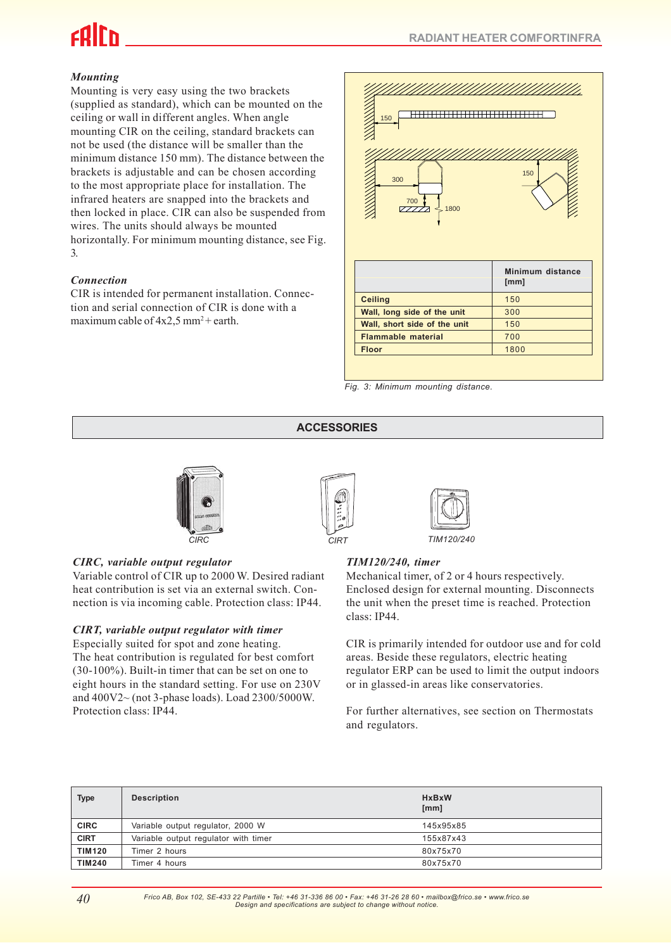# *Mounting*

Mounting is very easy using the two brackets (supplied as standard), which can be mounted on the ceiling or wall in different angles. When angle mounting CIR on the ceiling, standard brackets can not be used (the distance will be smaller than the minimum distance 150 mm). The distance between the brackets is adjustable and can be chosen according to the most appropriate place for installation. The infrared heaters are snapped into the brackets and then locked in place. CIR can also be suspended from wires. The units should always be mounted horizontally. For minimum mounting distance, see Fig. 3.

#### *Connection*

CIR is intended for permanent installation. Connection and serial connection of CIR is done with a maximum cable of  $4x2.5$  mm<sup>2</sup> + earth.



*Fig. 3: Minimum mounting distance.*

# **ACCESSORIES**



# *CIRC, variable output regulator*

Variable control of CIR up to 2000 W. Desired radiant heat contribution is set via an external switch. Connection is via incoming cable. Protection class: IP44.

#### *CIRT, variable output regulator with timer*

Especially suited for spot and zone heating. The heat contribution is regulated for best comfort (30-100%). Built-in timer that can be set on one to eight hours in the standard setting. For use on 230V and 400V2~ (not 3-phase loads). Load 2300/5000W. Protection class: IP44.





*CIRC TIM120/240*

#### *TIM120/240, timer*

Mechanical timer, of 2 or 4 hours respectively. Enclosed design for external mounting. Disconnects the unit when the preset time is reached. Protection class: IP44.

CIR is primarily intended for outdoor use and for cold areas. Beside these regulators, electric heating regulator ERP can be used to limit the output indoors or in glassed-in areas like conservatories.

For further alternatives, see section on Thermostats and regulators.

| <b>Type</b>   | <b>Description</b>                   | <b>HxBxW</b><br>[mm] |
|---------------|--------------------------------------|----------------------|
| <b>CIRC</b>   | Variable output regulator, 2000 W    | 145x95x85            |
| <b>CIRT</b>   | Variable output regulator with timer | 155x87x43            |
| <b>TIM120</b> | Timer 2 hours                        | 80x75x70             |
| <b>TIM240</b> | Timer 4 hours                        | 80x75x70             |

*Frico AB, Box 102, SE-433 22 Partille • Tel: +46 31-336 86 00 • Fax: +46 31-26 28 60 • mailbox@frico.se • www.frico.se Design and specifications are subject to change without notice.*